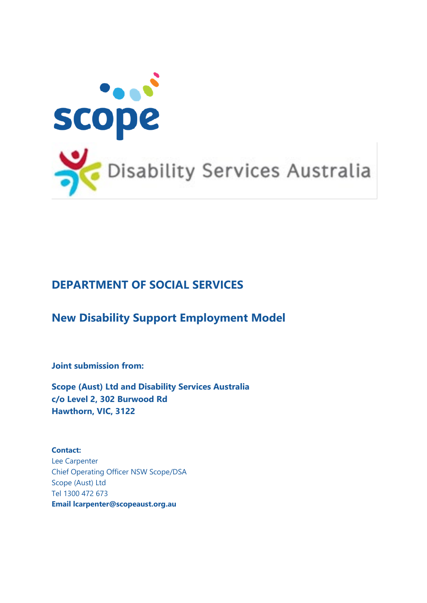

### **DEPARTMENT OF SOCIAL SERVICES**

### **New Disability Support Employment Model**

**Joint submission from:**

**Scope (Aust) Ltd and Disability Services Australia c/o Level 2, 302 Burwood Rd Hawthorn, VIC, 3122**

**Contact:** Lee Carpenter Chief Operating Officer NSW Scope/DSA Scope (Aust) Ltd Tel 1300 472 673 **Email [lcarpenter@scopeaust.org.au](mailto:jfitzerald@scopevic.org.au)**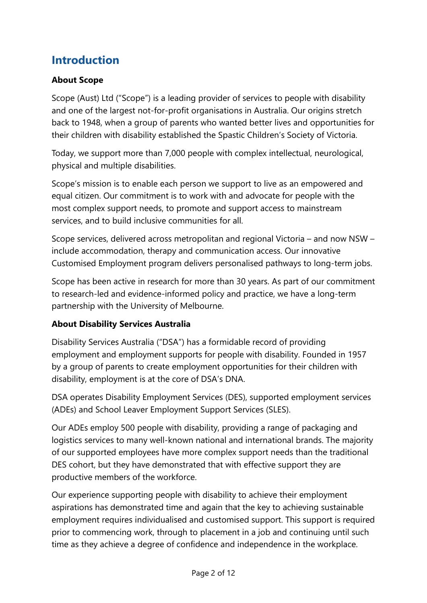# **Introduction**

### **About Scope**

Scope (Aust) Ltd ("Scope") is a leading provider of services to people with disability and one of the largest not-for-profit organisations in Australia. Our origins stretch back to 1948, when a group of parents who wanted better lives and opportunities for their children with disability established the Spastic Children's Society of Victoria.

Today, we support more than 7,000 people with complex intellectual, neurological, physical and multiple disabilities.

Scope's mission is to enable each person we support to live as an empowered and equal citizen. Our commitment is to work with and advocate for people with the most complex support needs, to promote and support access to mainstream services, and to build inclusive communities for all.

Scope services, delivered across metropolitan and regional Victoria – and now NSW – include accommodation, therapy and communication access. Our innovative Customised Employment program delivers personalised pathways to long-term jobs.

Scope has been active in research for more than 30 years. As part of our commitment to research-led and evidence-informed policy and practice, we have a long-term partnership with the University of Melbourne.

### **About Disability Services Australia**

Disability Services Australia ("DSA") has a formidable record of providing employment and employment supports for people with disability. Founded in 1957 by a group of parents to create employment opportunities for their children with disability, employment is at the core of DSA's DNA.

DSA operates Disability Employment Services (DES), supported employment services (ADEs) and School Leaver Employment Support Services (SLES).

Our ADEs employ 500 people with disability, providing a range of packaging and logistics services to many well-known national and international brands. The majority of our supported employees have more complex support needs than the traditional DES cohort, but they have demonstrated that with effective support they are productive members of the workforce.

Our experience supporting people with disability to achieve their employment aspirations has demonstrated time and again that the key to achieving sustainable employment requires individualised and customised support. This support is required prior to commencing work, through to placement in a job and continuing until such time as they achieve a degree of confidence and independence in the workplace.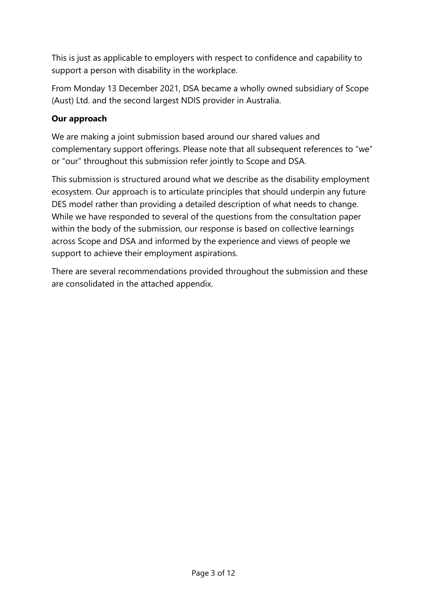This is just as applicable to employers with respect to confidence and capability to support a person with disability in the workplace.

From Monday 13 December 2021, DSA became a wholly owned subsidiary of Scope (Aust) Ltd. and the second largest NDIS provider in Australia.

### **Our approach**

We are making a joint submission based around our shared values and complementary support offerings. Please note that all subsequent references to "we" or "our" throughout this submission refer jointly to Scope and DSA.

This submission is structured around what we describe as the disability employment ecosystem. Our approach is to articulate principles that should underpin any future DES model rather than providing a detailed description of what needs to change. While we have responded to several of the questions from the consultation paper within the body of the submission, our response is based on collective learnings across Scope and DSA and informed by the experience and views of people we support to achieve their employment aspirations.

There are several recommendations provided throughout the submission and these are consolidated in the attached appendix.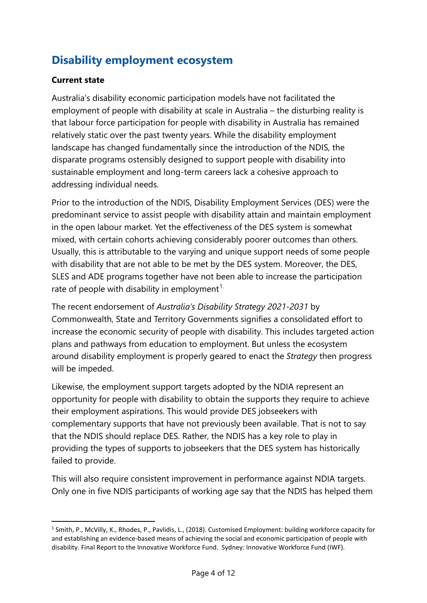# **Disability employment ecosystem**

### **Current state**

Australia's disability economic participation models have not facilitated the employment of people with disability at scale in Australia – the disturbing reality is that labour force participation for people with disability in Australia has remained relatively static over the past twenty years. While the disability employment landscape has changed fundamentally since the introduction of the NDIS, the disparate programs ostensibly designed to support people with disability into sustainable employment and long-term careers lack a cohesive approach to addressing individual needs.

Prior to the introduction of the NDIS, Disability Employment Services (DES) were the predominant service to assist people with disability attain and maintain employment in the open labour market. Yet the effectiveness of the DES system is somewhat mixed, with certain cohorts achieving considerably poorer outcomes than others. Usually, this is attributable to the varying and unique support needs of some people with disability that are not able to be met by the DES system. Moreover, the DES, SLES and ADE programs together have not been able to increase the participation rate of people with disability in employment<sup>[1](#page-3-0).</sup>

The recent endorsement of *Australia's Disability Strategy 2021-2031* by Commonwealth, State and Territory Governments signifies a consolidated effort to increase the economic security of people with disability. This includes targeted action plans and pathways from education to employment. But unless the ecosystem around disability employment is properly geared to enact the *Strategy* then progress will be impeded.

Likewise, the employment support targets adopted by the NDIA represent an opportunity for people with disability to obtain the supports they require to achieve their employment aspirations. This would provide DES jobseekers with complementary supports that have not previously been available. That is not to say that the NDIS should replace DES. Rather, the NDIS has a key role to play in providing the types of supports to jobseekers that the DES system has historically failed to provide.

This will also require consistent improvement in performance against NDIA targets. Only one in five NDIS participants of working age say that the NDIS has helped them

<span id="page-3-0"></span><sup>&</sup>lt;sup>1</sup> Smith, P., McVilly, K., Rhodes, P., Pavlidis, L., (2018). Customised Employment: building workforce capacity for and establishing an evidence-based means of achieving the social and economic participation of people with disability. Final Report to the Innovative Workforce Fund. Sydney: Innovative Workforce Fund (IWF).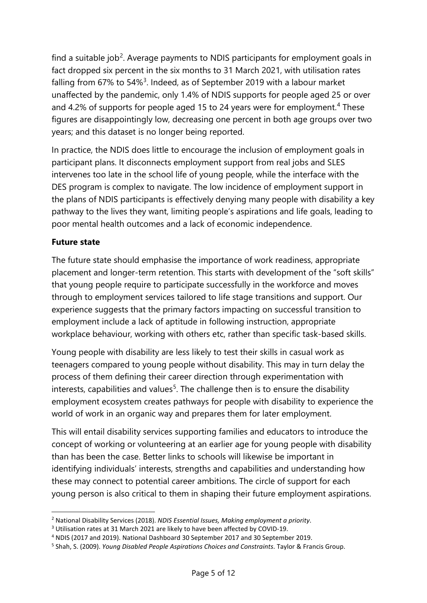find a suitable job<sup>[2](#page-4-0)</sup>. Average payments to NDIS participants for employment goals in fact dropped six percent in the six months to 31 March 2021, with utilisation rates falling from 67% to 54%<sup>[3](#page-4-1)</sup>. Indeed, as of September 2019 with a labour market unaffected by the pandemic, only 1.4% of NDIS supports for people aged 25 or over and [4](#page-4-2).2% of supports for people aged 15 to 24 years were for employment.<sup>4</sup> These figures are disappointingly low, decreasing one percent in both age groups over two years; and this dataset is no longer being reported.

In practice, the NDIS does little to encourage the inclusion of employment goals in participant plans. It disconnects employment support from real jobs and SLES intervenes too late in the school life of young people, while the interface with the DES program is complex to navigate. The low incidence of employment support in the plans of NDIS participants is effectively denying many people with disability a key pathway to the lives they want, limiting people's aspirations and life goals, leading to poor mental health outcomes and a lack of economic independence.

#### **Future state**

The future state should emphasise the importance of work readiness, appropriate placement and longer-term retention. This starts with development of the "soft skills" that young people require to participate successfully in the workforce and moves through to employment services tailored to life stage transitions and support. Our experience suggests that the primary factors impacting on successful transition to employment include a lack of aptitude in following instruction, appropriate workplace behaviour, working with others etc, rather than specific task-based skills.

Young people with disability are less likely to test their skills in casual work as teenagers compared to young people without disability. This may in turn delay the process of them defining their career direction through experimentation with interests, capabilities and values<sup>[5](#page-4-3)</sup>. The challenge then is to ensure the disability employment ecosystem creates pathways for people with disability to experience the world of work in an organic way and prepares them for later employment.

This will entail disability services supporting families and educators to introduce the concept of working or volunteering at an earlier age for young people with disability than has been the case. Better links to schools will likewise be important in identifying individuals' interests, strengths and capabilities and understanding how these may connect to potential career ambitions. The circle of support for each young person is also critical to them in shaping their future employment aspirations.

<span id="page-4-0"></span><sup>2</sup> National Disability Services (2018). *NDIS Essential Issues, Making employment a priority*.

<span id="page-4-1"></span><sup>3</sup> Utilisation rates at 31 March 2021 are likely to have been affected by COVID-19.

<span id="page-4-2"></span><sup>4</sup> NDIS (2017 and 2019). National Dashboard 30 September 2017 and 30 September 2019.

<span id="page-4-3"></span><sup>5</sup> Shah, S. (2009). *Young Disabled People Aspirations Choices and Constraints*. Taylor & Francis Group.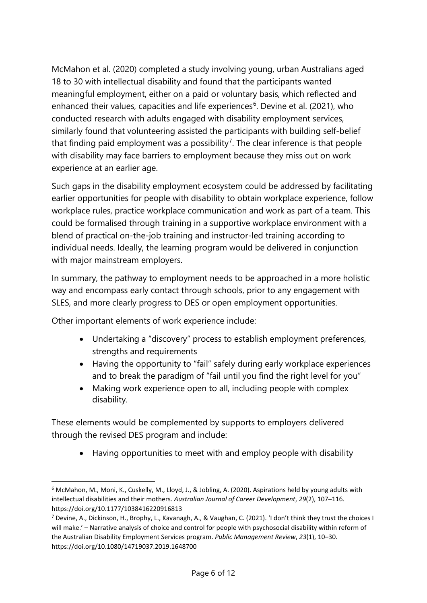McMahon et al. (2020) completed a study involving young, urban Australians aged 18 to 30 with intellectual disability and found that the participants wanted meaningful employment, either on a paid or voluntary basis, which reflected and enhanced their values, capacities and life experiences<sup>[6](#page-5-0)</sup>. Devine et al. (2021), who conducted research with adults engaged with disability employment services, similarly found that volunteering assisted the participants with building self-belief that finding paid employment was a possibility<sup>[7](#page-5-1)</sup>. The clear inference is that people with disability may face barriers to employment because they miss out on work experience at an earlier age.

Such gaps in the disability employment ecosystem could be addressed by facilitating earlier opportunities for people with disability to obtain workplace experience, follow workplace rules, practice workplace communication and work as part of a team. This could be formalised through training in a supportive workplace environment with a blend of practical on-the-job training and instructor-led training according to individual needs. Ideally, the learning program would be delivered in conjunction with major mainstream employers.

In summary, the pathway to employment needs to be approached in a more holistic way and encompass early contact through schools, prior to any engagement with SLES, and more clearly progress to DES or open employment opportunities.

Other important elements of work experience include:

- Undertaking a "discovery" process to establish employment preferences, strengths and requirements
- Having the opportunity to "fail" safely during early workplace experiences and to break the paradigm of "fail until you find the right level for you"
- Making work experience open to all, including people with complex disability.

These elements would be complemented by supports to employers delivered through the revised DES program and include:

• Having opportunities to meet with and employ people with disability

<span id="page-5-0"></span><sup>6</sup> McMahon, M., Moni, K., Cuskelly, M., Lloyd, J., & Jobling, A. (2020). Aspirations held by young adults with intellectual disabilities and their mothers. *Australian Journal of Career Development*, *29*(2), 107–116. https://doi.org/10.1177/1038416220916813

<span id="page-5-1"></span><sup>&</sup>lt;sup>7</sup> Devine, A., Dickinson, H., Brophy, L., Kavanagh, A., & Vaughan, C. (2021). 'I don't think they trust the choices I will make.' – Narrative analysis of choice and control for people with psychosocial disability within reform of the Australian Disability Employment Services program. *Public Management Review*, *23*(1), 10–30. https://doi.org/10.1080/14719037.2019.1648700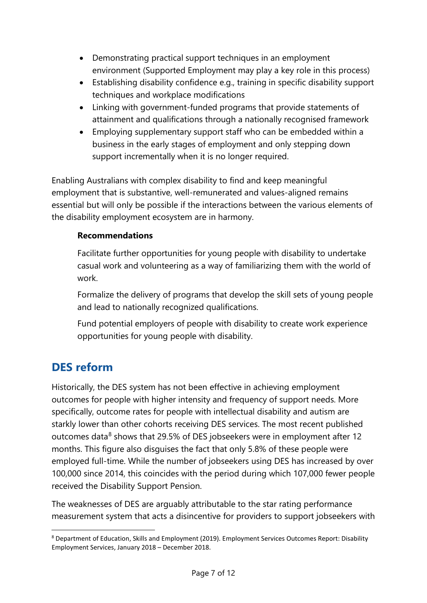- Demonstrating practical support techniques in an employment environment (Supported Employment may play a key role in this process)
- Establishing disability confidence e.g., training in specific disability support techniques and workplace modifications
- Linking with government-funded programs that provide statements of attainment and qualifications through a nationally recognised framework
- Employing supplementary support staff who can be embedded within a business in the early stages of employment and only stepping down support incrementally when it is no longer required.

Enabling Australians with complex disability to find and keep meaningful employment that is substantive, well-remunerated and values-aligned remains essential but will only be possible if the interactions between the various elements of the disability employment ecosystem are in harmony.

### **Recommendations**

Facilitate further opportunities for young people with disability to undertake casual work and volunteering as a way of familiarizing them with the world of work.

Formalize the delivery of programs that develop the skill sets of young people and lead to nationally recognized qualifications.

Fund potential employers of people with disability to create work experience opportunities for young people with disability.

## **DES reform**

Historically, the DES system has not been effective in achieving employment outcomes for people with higher intensity and frequency of support needs. More specifically, outcome rates for people with intellectual disability and autism are starkly lower than other cohorts receiving DES services. The most recent published outcomes data<sup>[8](#page-6-0)</sup> shows that 29.5% of DES jobseekers were in employment after 12 months. This figure also disguises the fact that only 5.8% of these people were employed full-time. While the number of jobseekers using DES has increased by over 100,000 since 2014, this coincides with the period during which 107,000 fewer people received the Disability Support Pension.

The weaknesses of DES are arguably attributable to the star rating performance measurement system that acts a disincentive for providers to support jobseekers with

<span id="page-6-0"></span><sup>8</sup> Department of Education, Skills and Employment (2019). Employment Services Outcomes Report: Disability Employment Services, January 2018 – December 2018.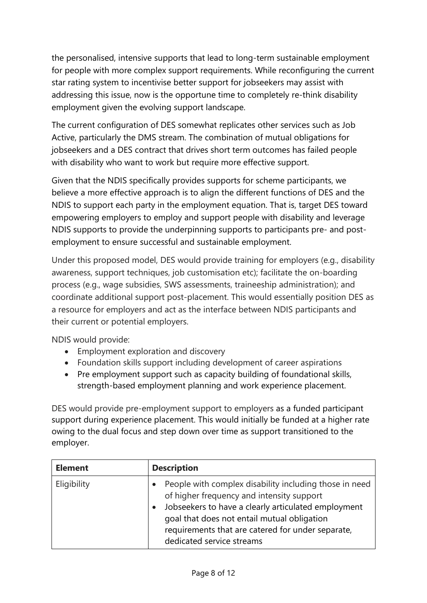the personalised, intensive supports that lead to long-term sustainable employment for people with more complex support requirements. While reconfiguring the current star rating system to incentivise better support for jobseekers may assist with addressing this issue, now is the opportune time to completely re-think disability employment given the evolving support landscape.

The current configuration of DES somewhat replicates other services such as Job Active, particularly the DMS stream. The combination of mutual obligations for jobseekers and a DES contract that drives short term outcomes has failed people with disability who want to work but require more effective support.

Given that the NDIS specifically provides supports for scheme participants, we believe a more effective approach is to align the different functions of DES and the NDIS to support each party in the employment equation. That is, target DES toward empowering employers to employ and support people with disability and leverage NDIS supports to provide the underpinning supports to participants pre- and postemployment to ensure successful and sustainable employment.

Under this proposed model, DES would provide training for employers (e.g., disability awareness, support techniques, job customisation etc); facilitate the on-boarding process (e.g., wage subsidies, SWS assessments, traineeship administration); and coordinate additional support post-placement. This would essentially position DES as a resource for employers and act as the interface between NDIS participants and their current or potential employers.

NDIS would provide:

- Employment exploration and discovery
- Foundation skills support including development of career aspirations
- Pre employment support such as capacity building of foundational skills, strength-based employment planning and work experience placement.

DES would provide pre-employment support to employers as a funded participant support during experience placement. This would initially be funded at a higher rate owing to the dual focus and step down over time as support transitioned to the employer.

| <b>Element</b> | <b>Description</b>                                                                                                                                                                                                                                                                                                    |
|----------------|-----------------------------------------------------------------------------------------------------------------------------------------------------------------------------------------------------------------------------------------------------------------------------------------------------------------------|
| Eligibility    | People with complex disability including those in need<br>$\bullet$<br>of higher frequency and intensity support<br>Jobseekers to have a clearly articulated employment<br>$\bullet$<br>goal that does not entail mutual obligation<br>requirements that are catered for under separate,<br>dedicated service streams |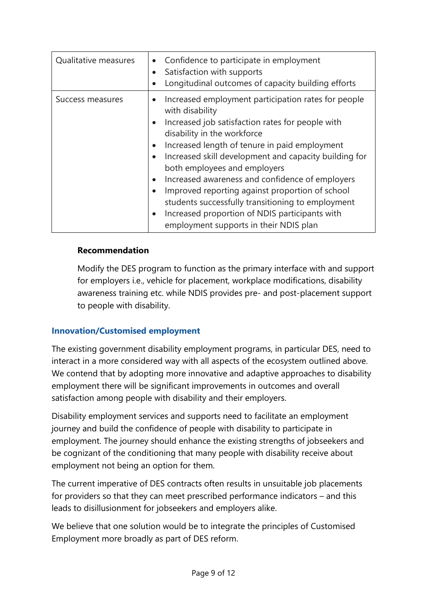| Qualitative measures | Confidence to participate in employment<br>$\bullet$<br>Satisfaction with supports<br>$\bullet$<br>Longitudinal outcomes of capacity building efforts                                                                                                                                                                                                                                                                                                                                                                                                      |
|----------------------|------------------------------------------------------------------------------------------------------------------------------------------------------------------------------------------------------------------------------------------------------------------------------------------------------------------------------------------------------------------------------------------------------------------------------------------------------------------------------------------------------------------------------------------------------------|
| Success measures     | Increased employment participation rates for people<br>with disability<br>Increased job satisfaction rates for people with<br>disability in the workforce<br>Increased length of tenure in paid employment<br>Increased skill development and capacity building for<br>both employees and employers<br>Increased awareness and confidence of employers<br>Improved reporting against proportion of school<br>students successfully transitioning to employment<br>Increased proportion of NDIS participants with<br>employment supports in their NDIS plan |

#### **Recommendation**

Modify the DES program to function as the primary interface with and support for employers i.e., vehicle for placement, workplace modifications, disability awareness training etc. while NDIS provides pre- and post-placement support to people with disability.

### **Innovation/Customised employment**

The existing government disability employment programs, in particular DES, need to interact in a more considered way with all aspects of the ecosystem outlined above. We contend that by adopting more innovative and adaptive approaches to disability employment there will be significant improvements in outcomes and overall satisfaction among people with disability and their employers.

Disability employment services and supports need to facilitate an employment journey and build the confidence of people with disability to participate in employment. The journey should enhance the existing strengths of jobseekers and be cognizant of the conditioning that many people with disability receive about employment not being an option for them.

The current imperative of DES contracts often results in unsuitable job placements for providers so that they can meet prescribed performance indicators – and this leads to disillusionment for jobseekers and employers alike.

We believe that one solution would be to integrate the principles of Customised Employment more broadly as part of DES reform.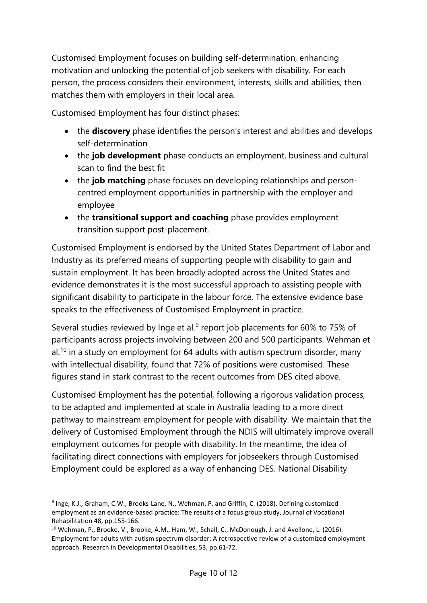Customised Employment focuses on building self-determination, enhancing motivation and unlocking the potential of job seekers with disability. For each person, the process considers their environment, interests, skills and abilities, then matches them with employers in their local area.

Customised Employment has four distinct phases:

- the **discovery** phase identifies the person's interest and abilities and develops self-determination
- the **job development** phase conducts an employment, business and cultural scan to find the best fit
- the **job matching** phase focuses on developing relationships and personcentred employment opportunities in partnership with the employer and employee
- the **transitional support and coaching** phase provides employment transition support post-placement.

Customised Employment is endorsed by the United States Department of Labor and Industry as its preferred means of supporting people with disability to gain and sustain employment. It has been broadly adopted across the United States and evidence demonstrates it is the most successful approach to assisting people with significant disability to participate in the labour force. The extensive evidence base speaks to the effectiveness of Customised Employment in practice.

Several studies reviewed by Inge et al. $9$  report job placements for 60% to 75% of participants across projects involving between 200 and 500 participants. Wehman et  $al.10$  $al.10$  in a study on employment for 64 adults with autism spectrum disorder, many with intellectual disability, found that 72% of positions were customised. These figures stand in stark contrast to the recent outcomes from DES cited above.

Customised Employment has the potential, following a rigorous validation process, to be adapted and implemented at scale in Australia leading to a more direct pathway to mainstream employment for people with disability. We maintain that the delivery of Customised Employment through the NDIS will ultimately improve overall employment outcomes for people with disability. In the meantime, the idea of facilitating direct connections with employers for jobseekers through Customised Employment could be explored as a way of enhancing DES. National Disability

<span id="page-9-0"></span><sup>9</sup> Inge, K.J., Graham, C.W., Brooks-Lane, N., Wehman, P. and Griffin, C. (2018). Defining customized employment as an evidence-based practice: The results of a focus group study, Journal of Vocational Rehabilitation 48, pp.155-166.

<span id="page-9-1"></span><sup>&</sup>lt;sup>10</sup> Wehman, P., Brooke, V., Brooke, A.M., Ham, W., Schall, C., McDonough, J. and Avellone, L. (2016). Employment for adults with autism spectrum disorder: A retrospective review of a customized employment approach. Research in Developmental Disabilities, 53, pp.61-72.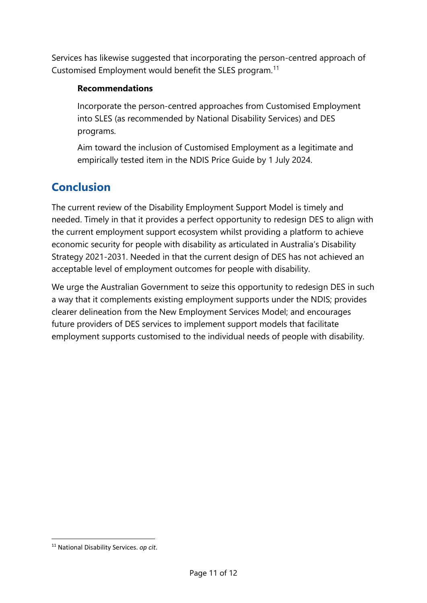Services has likewise suggested that incorporating the person-centred approach of Customised Employment would benefit the SLES program.<sup>[11](#page-10-0)</sup>

#### **Recommendations**

Incorporate the person-centred approaches from Customised Employment into SLES (as recommended by National Disability Services) and DES programs.

Aim toward the inclusion of Customised Employment as a legitimate and empirically tested item in the NDIS Price Guide by 1 July 2024.

## **Conclusion**

The current review of the Disability Employment Support Model is timely and needed. Timely in that it provides a perfect opportunity to redesign DES to align with the current employment support ecosystem whilst providing a platform to achieve economic security for people with disability as articulated in Australia's Disability Strategy 2021-2031. Needed in that the current design of DES has not achieved an acceptable level of employment outcomes for people with disability.

We urge the Australian Government to seize this opportunity to redesign DES in such a way that it complements existing employment supports under the NDIS; provides clearer delineation from the New Employment Services Model; and encourages future providers of DES services to implement support models that facilitate employment supports customised to the individual needs of people with disability.

<span id="page-10-0"></span><sup>11</sup> National Disability Services. *op cit*.